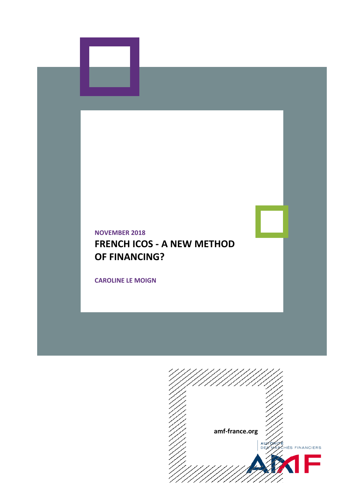# **NOVEMBER 2018 FRENCH ICOS - A NEW METHOD OF FINANCING?**

**CAROLINE LE MOIGN**

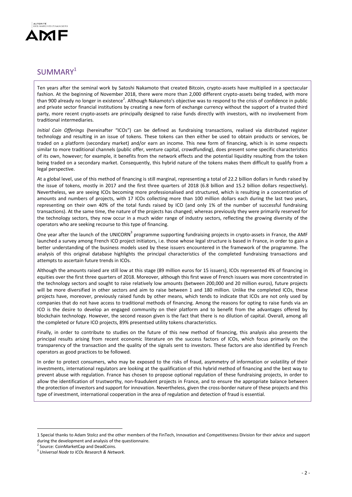

## SUMMARY<sup>1</sup>

Ten years after the seminal work by Satoshi Nakamoto that created Bitcoin, crypto-assets have multiplied in a spectacular fashion. At the beginning of November 2018, there were more than 2,000 different crypto-assets being traded, with more than 900 already no longer in existence<sup>2</sup>. Although Nakamoto's objective was to respond to the crisis of confidence in public and private sector financial institutions by creating a new form of exchange currency without the support of a trusted third party, more recent crypto-assets are principally designed to raise funds directly with investors, with no involvement from traditional intermediaries.

*Initial Coin Offerings* (hereinafter "ICOs") can be defined as fundraising transactions, realised via distributed register technology and resulting in an issue of tokens. These tokens can then either be used to obtain products or services, be traded on a platform (secondary market) and/or earn an income. This new form of financing, which is in some respects similar to more traditional channels (public offer, venture capital, crowdfunding), does present some specific characteristics of its own, however; for example, it benefits from the network effects and the potential liquidity resulting from the token being traded on a secondary market. Consequently, this hybrid nature of the tokens makes them difficult to qualify from a legal perspective.

At a global level, use of this method of financing is still marginal, representing a total of 22.2 billion dollars in funds raised by the issue of tokens, mostly in 2017 and the first three quarters of 2018 (6.8 billion and 15.2 billion dollars respectively). Nevertheless, we are seeing ICOs becoming more professionalised and structured, which is resulting in a concentration of amounts and numbers of projects, with 17 ICOs collecting more than 100 million dollars each during the last two years, representing on their own 40% of the total funds raised by ICO (and only 1% of the number of successful fundraising transactions). At the same time, the nature of the projects has changed; whereas previously they were primarily reserved for the technology sectors, they now occur in a much wider range of industry sectors, reflecting the growing diversity of the operators who are seeking recourse to this type of financing.

One year after the launch of the UNICORN<sup>3</sup> programme supporting fundraising projects in crypto-assets in France, the AMF launched a survey among French ICO project initiators, i.e. those whose legal structure is based in France, in order to gain a better understanding of the business models used by these issuers encountered in the framework of the programme. The analysis of this original database highlights the principal characteristics of the completed fundraising transactions and attempts to ascertain future trends in ICOs.

Although the amounts raised are still low at this stage (89 million euros for 15 issuers), ICOs represented 4% of financing in equities over the first three quarters of 2018. Moreover, although this first wave of French issuers was more concentrated in the technology sectors and sought to raise relatively low amounts (between 200,000 and 20 million euros), future projects will be more diversified in other sectors and aim to raise between 1 and 180 million. Unlike the completed ICOs, these projects have, moreover, previously raised funds by other means, which tends to indicate that ICOs are not only used by companies that do not have access to traditional methods of financing. Among the reasons for opting to raise funds via an ICO is the desire to develop an engaged community on their platform and to benefit from the advantages offered by blockchain technology. However, the second reason given is the fact that there is no dilution of capital. Overall, among all the completed or future ICO projects, 89% presentsed utility tokens characteristics.

Finally, in order to contribute to studies on the future of this new method of financing, this analysis also presents the principal results arising from recent economic literature on the success factors of ICOs, which focus primarily on the transparency of the transaction and the quality of the signals sent to investors. These factors are also identified by French operators as good practices to be followed.

In order to protect consumers, who may be exposed to the risks of fraud, asymmetry of information or volatility of their investments, international regulators are looking at the qualification of this hybrid method of financing and the best way to prevent abuse with regulation. France has chosen to propose optional regulation of these fundraising projects, in order to allow the identification of trustworthy, non-fraudulent projects in France, and to ensure the appropriate balance between the protection of investors and support for innovation. Nevertheless, given the cross-border nature of these projects and this type of investment, international cooperation in the area of regulation and detection of fraud is essential.

1

<sup>1</sup> Special thanks to Adam Stolcz and the other members of the FinTech, Innovation and Competitiveness Division for their advice and support during the development and analysis of the questionnaire.

<sup>2</sup> Source: CoinMarketCap and DeadCoins.

<sup>3</sup> *Universal Node to ICOs Research & Network*.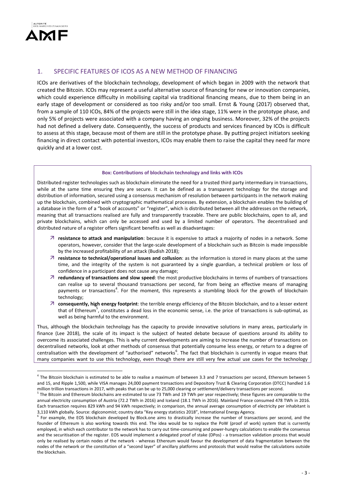

1

## 1. SPECIFIC FEATURES OF ICOS AS A NEW METHOD OF FINANCING

ICOs are derivatives of the blockchain technology, development of which began in 2009 with the network that created the Bitcoin. ICOs may represent a useful alternative source of financing for new or innovation companies, which could experience difficulty in mobilising capital via traditional financing means, due to them being in an early stage of development or considered as too risky and/or too small. Ernst & Young (2017) observed that, from a sample of 110 ICOs, 84% of the projects were still in the idea stage, 11% were in the prototype phase, and only 5% of projects were associated with a company having an ongoing business. Moreover, 32% of the projects had not defined a delivery date. Consequently, the success of products and services financed by ICOs is difficult to assess at this stage, because most of them are still in the prototype phase. By putting project initiators seeking financing in direct contact with potential investors, ICOs may enable them to raise the capital they need far more quickly and at a lower cost.

#### **Box: Contributions of blockchain technology and links with ICOs**

Distributed register technologies such as blockchain eliminate the need for a trusted third party intermediary in transactions, while at the same time ensuring they are secure. It can be defined as a transparent technology for the storage and distribution of information, secured using a consensus mechanism of resolution between participants in the network making up the blockchain, combined with cryptographic mathematical processes. By extension, a blockchain enables the building of a database in the form of a "book of accounts" or "register", which is distributed between all the addresses on the network, meaning that all transactions realised are fully and transparently traceable. There are public blockchains, open to all, and private blockchains, which can only be accessed and used by a limited number of operators. The decentralised and distributed nature of a register offers significant benefits as well as disadvantages:

- **resistance to attack and manipulation**: because it is expensive to attack a majority of nodes in a network. Some operators, however, consider that the large-scale development of a blockchain such as Bitcoin is made impossible by the increased profitability of an attack (Budish 2018);
- **resistance to technical/operational issues and collusion**: as the information is stored in many places at the same time, and the integrity of the system is not guaranteed by a single guardian, a technical problem or loss of confidence in a participant does not cause any damage;
- **redundancy of transactions and slow speed**: the most productive blockchains in terms of numbers of transactions can realise up to several thousand transactions per second, far from being an effective means of managing payments or transactions<sup>4</sup>. For the moment, this represents a stumbling block for the growth of blockchain technology;
- **consequently, high energy footprint**: the terrible energy efficiency of the Bitcoin blockchain, and to a lesser extent that of Ethereum<sup>5</sup>, constitutes a dead loss in the economic sense, i.e. the price of transactions is sub-optimal, as well as being harmful to the environment.

Thus, although the blockchain technology has the capacity to provide innovative solutions in many areas, particularly in finance (Lee 2018), the scale of its impact is the subject of heated debate because of questions around its ability to overcome its associated challenges. This is why current developments are aiming to increase the number of transactions on decentralised networks, look at other methods of consensus that potentially consume less energy, or return to a degree of centralisation with the development of "authorised" networks<sup>6</sup>. The fact that blockchain is currently in vogue means that many companies want to use this technology, even though there are still very few actual use cases for the technology

<sup>&</sup>lt;sup>4</sup> The Bitcoin blockchain is estimated to be able to realise a maximum of between 3.3 and 7 transactions per second, Ethereum between 5 and 15, and Ripple 1,500, while VISA manages 24,000 payment transactions and Depository Trust & Clearing Corporation (DTCC) handled 1.6 million trillion transactions in 2017, with peaks that can be up to 25,000 clearing or settlement/delivery transactions per second.

<sup>&</sup>lt;sup>5</sup> The Bitcoin and Ethereum blockchains are estimated to use 73 TWh and 19 TWh per year respectively; these figures are comparable to the annual electricity consumption of Austria (72.2 TWh in 2016) and Iceland (18.1 TWh in 2016). Mainland France consumed 478 TWh in 2016. Each transaction requires 829 kWh and 94 kWh respectively; in comparison, the annual average consumption of electricity per inhabitant is 3,110 kWh globally. Source: digiconomist; country data "Key energy statistics 2018", International Energy Agency.

<sup>&</sup>lt;sup>6</sup> For example, the EOS blockchain developed by Block.one aims to drastically increase the number of transactions per second, and the founder of Ethereum is also working towards this end. The idea would be to replace the PoW (proof of work) system that is currently employed, in which each contributor to the network has to carry out time-consuming and power-hungry calculations to enable the consensus and the securitisation of the register. EOS would implement a delegated proof of stake (DPos) - a transaction validation process that would only be realised by certain nodes of the network - whereas Ethereum would favour the development of data fragmentation between the nodes of the network or the constitution of a "second layer" of ancillary platforms and protocols that would realise the calculations outside the blockchain.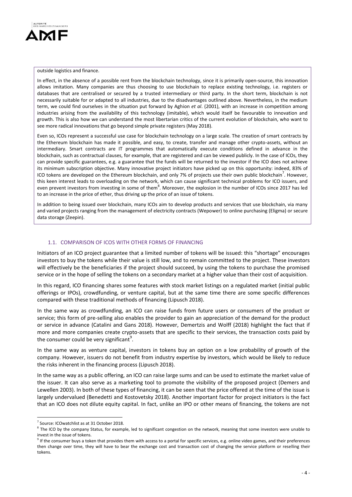

#### outside logistics and finance.

In effect, in the absence of a possible rent from the blockchain technology, since it is primarily open-source, this innovation allows imitation. Many companies are thus choosing to use blockchain to replace existing technology, i.e. registers or databases that are centralised or secured by a trusted intermediary or third party. In the short term, blockchain is not necessarily suitable for or adapted to all industries, due to the disadvantages outlined above. Nevertheless, in the medium term, we could find ourselves in the situation put forward by Aghion *et al*. (2001), with an increase in competition among industries arising from the availability of this technology (imitable), which would itself be favourable to innovation and growth. This is also how we can understand the most libertarian critics of the current evolution of blockchain, who want to see more radical innovations that go beyond simple private registers (May 2018).

Even so, ICOs represent a successful use case for blockchain technology on a large scale. The creation of smart contracts by the Ethereum blockchain has made it possible, and easy, to create, transfer and manage other crypto-assets, without an intermediary. Smart contracts are IT programmes that automatically execute conditions defined in advance in the blockchain, such as contractual clauses, for example, that are registered and can be viewed publicly. In the case of ICOs, they can provide specific guarantees, e.g. a guarantee that the funds will be returned to the investor if the ICO does not achieve its minimum subscription objective. Many innovative project initiators have picked up on this opportunity: indeed, 83% of ICO tokens are developed on the Ethereum blockchain, and only 7% of projects use their own public blockchain<sup>7</sup>. However, this keen interest leads to overloading on the network, which can cause significant technical problems for ICO issuers, and even prevent investors from investing in some of them<sup>8</sup>. Moreover, the explosion in the number of ICOs since 2017 has led to an increase in the price of ether, thus driving up the price of an issue of tokens.

In addition to being issued over blockchain, many ICOs aim to develop products and services that use blockchain, via many and varied projects ranging from the management of electricity contracts (Wepower) to online purchasing (Eligma) or secure data storage (Zeepin).

#### 1.1. COMPARISON OF ICOS WITH OTHER FORMS OF FINANCING

Initiators of an ICO project guarantee that a limited number of tokens will be issued: this "shortage" encourages investors to buy the tokens while their value is still low, and to remain committed to the project. These investors will effectively be the beneficiaries if the project should succeed, by using the tokens to purchase the promised service or in the hope of selling the tokens on a secondary market at a higher value than their cost of acquisition.

In this regard, ICO financing shares some features with stock market listings on a regulated market (initial public offerings or IPOs), crowdfunding, or venture capital, but at the same time there are some specific differences compared with these traditional methods of financing (Lipusch 2018).

In the same way as crowdfunding, an ICO can raise funds from future users or consumers of the product or service; this form of pre-selling also enables the provider to gain an appreciation of the demand for the product or service in advance (Catalini and Gans 2018). However, Demertzis and Wolff (2018) highlight the fact that if more and more companies create crypto-assets that are specific to their services, the transaction costs paid by the consumer could be very significant<sup>9</sup>.

In the same way as venture capital, investors in tokens buy an option on a low probability of growth of the company. However, issuers do not benefit from industry expertise by investors, which would be likely to reduce the risks inherent in the financing process (Lipusch 2018).

In the same way as a public offering, an ICO can raise large sums and can be used to estimate the market value of the issuer. It can also serve as a marketing tool to promote the visibility of the proposed project (Demers and Lewellen 2003). In both of these types of financing, it can be seen that the price offered at the time of the issue is largely undervalued (Benedetti and Kostovetsky 2018). Another important factor for project initiators is the fact that an ICO does not dilute equity capital. In fact, unlike an IPO or other means of financing, the tokens are not

<u>.</u>

<sup>&</sup>lt;sup>7</sup> Source: ICOwatchlist as at 31 October 2018.

 $8$  The ICO by the company Status, for example, led to significant congestion on the network, meaning that some investors were unable to invest in the issue of tokens.

<sup>&</sup>lt;sup>9</sup> If the consumer buys a token that provides them with access to a portal for specific services, e.g. online video games, and their preferences then change over time, they will have to bear the exchange cost and transaction cost of changing the service platform or reselling their tokens.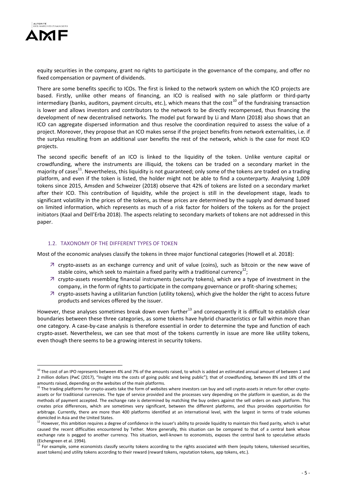

1

equity securities in the company, grant no rights to participate in the governance of the company, and offer no fixed compensation or payment of dividends.

There are some benefits specific to ICOs. The first is linked to the network system on which the ICO projects are based. Firstly, unlike other means of financing, an ICO is realised with no sale platform or third-party intermediary (banks, auditors, payment circuits, etc.), which means that the cost<sup>10</sup> of the fundraising transaction is lower and allows investors and contributors to the network to be directly recompensed, thus financing the development of new decentralised networks. The model put forward by Li and Mann (2018) also shows that an ICO can aggregate dispersed information and thus resolve the coordination required to assess the value of a project. Moreover, they propose that an ICO makes sense if the project benefits from network externalities, i.e. if the surplus resulting from an additional user benefits the rest of the network, which is the case for most ICO projects.

The second specific benefit of an ICO is linked to the liquidity of the token. Unlike venture capital or crowdfunding, where the instruments are illiquid, the tokens can be traded on a secondary market in the majority of cases<sup>11</sup>. Nevertheless, this liquidity is not guaranteed; only some of the tokens are traded on a trading platform, and even if the token is listed, the holder might not be able to find a counterparty. Analysing 1,009 tokens since 2015, Amsden and Schweizer (2018) observe that 42% of tokens are listed on a secondary market after their ICO. This contribution of liquidity, while the project is still in the development stage, leads to significant volatility in the prices of the tokens, as these prices are determined by the supply and demand based on limited information, which represents as much of a risk factor for holders of the tokens as for the project initiators (Kaal and Dell'Erba 2018). The aspects relating to secondary markets of tokens are not addressed in this paper.

#### 1.2. TAXONOMY OF THE DIFFERENT TYPES OF TOKEN

Most of the economic analyses classify the tokens in three major functional categories (Howell et al. 2018):

- $\overline{z}$  crypto-assets as an exchange currency and unit of value (coins), such as bitcoin or the new wave of stable coins, which seek to maintain a fixed parity with a traditional currency<sup>12</sup>;
- $\overline{\phantom{a}}$  crypto-assets resembling financial instruments (security tokens), which are a type of investment in the company, in the form of rights to participate in the company governance or profit-sharing schemes;
- crypto-assets having a utilitarian function (utility tokens), which give the holder the right to access future products and services offered by the issuer.

However, these analyses sometimes break down even further $^{13}$  and consequently it is difficult to establish clear boundaries between these three categories, as some tokens have hybrid characteristics or fall within more than one category. A case-by-case analysis is therefore essential in order to determine the type and function of each crypto-asset. Nevertheless, we can see that most of the tokens currently in issue are more like utility tokens, even though there seems to be a growing interest in security tokens.

 $10$  The cost of an IPO represents between 4% and 7% of the amounts raised, to which is added an estimated annual amount of between 1 and 2 million dollars (PwC (2017), "Insight into the costs of going public and being public"); that of crowdfunding, between 8% and 18% of the amounts raised, depending on the websites of the main platforms.

<sup>&</sup>lt;sup>11</sup> The trading platforms for crypto-assets take the form of websites where investors can buy and sell crypto-assets in return for other cryptoassets or for traditional currencies. The type of service provided and the processes vary depending on the platform in question, as do the methods of payment accepted. The exchange rate is determined by matching the buy orders against the sell orders on each platform. This creates price differences, which are sometimes very significant, between the different platforms, and thus provides opportunities for arbitrage. Currently, there are more than 400 platforms identified at an international level, with the largest in terms of trade volumes domiciled in Asia and the United States.

 $^{12}$  However, this ambition requires a degree of confidence in the issuer's ability to provide liquidity to maintain this fixed parity, which is what caused the recent difficulties encountered by Tether. More generally, this situation can be compared to that of a central bank whose exchange rate is pegged to another currency. This situation, well-known to economists, exposes the central bank to speculative attacks (Eichengreen et al. 1994).

For example, some economists classify security tokens according to the rights associated with them (equity tokens, tokenised securities, asset tokens) and utility tokens according to their reward (reward tokens, reputation tokens, app tokens, etc.).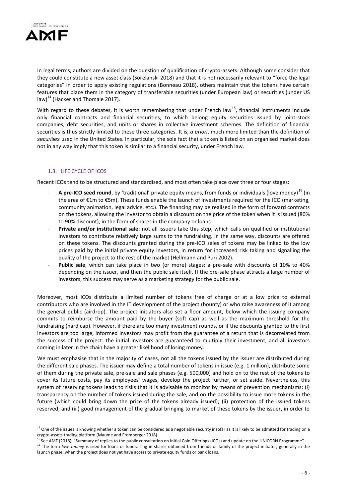

In legal terms, authors are divided on the question of qualification of crypto-assets. Although some consider that they could constitute a new asset class (Sorelanski 2018) and that it is not necessarily relevant to "force the legal categories" in order to apply existing regulations (Bonneau 2018), others maintain that the tokens have certain features that place them in the category of transferable securities (under European law) or securities (under US law) $^{14}$  (Hacker and Thomale 2017).

With regard to these debates, it is worth remembering that under French law<sup>15</sup>, financial instruments include only financial contracts and financial securities, to which belong equity securities issued by joint-stock companies, debt securities, and units or shares in collective investment schemes. The definition of financial securities is thus strictly limited to these three categories. It is, *a priori*, much more limited than the definition of *securities* used in the United States. In particular, the sole fact that a token is listed on an organised market does not in any way imply that this token is similar to a financial security, under French law.

## 1.3. LIFE CYCLE OF ICOS

Recent ICOs tend to be structured and standardised, and most often take place over three or four stages:

- A pre-ICO seed round, by 'traditional' private equity means, from funds or individuals (love money)<sup>16</sup> (in the area of €1m to €5m). These funds enable the launch of investments required for the ICO (marketing, community animation, legal advice, etc.). The financing may be realised in the form of forward contracts on the tokens, allowing the investor to obtain a discount on the price of the token when it is issued (80% to 90% discount), in the form of shares in the company or loans.
- **Private and/or institutional sale**: not all issuers take this step, which calls on qualified or institutional investors to contribute relatively large sums to the fundraising. In the same way, discounts are offered on these tokens. The discounts granted during the pre-ICO sales of tokens may be linked to the low prices paid by the initial private equity investors, in return for increased risk taking and signalling the quality of the project to the rest of the market (Hellmann and Puri 2002).
- Public sale, which can take place in two (or more) stages: a pre-sale with discounts of 10% to 40% depending on the issuer, and then the public sale itself. If the pre-sale phase attracts a large number of investors, this success may serve as a marketing strategy for the public sale.

Moreover, most ICOs distribute a limited number of tokens free of charge or at a low price to external contributors who are involved in the IT development of the project (bounty) or who raise awareness of it among the general public (airdrop). The project initiators also set a floor amount, below which the issuing company commits to reimburse the amount paid by the buyer (soft cap) as well as the maximum threshold for the fundraising (hard cap). However, if there are too many investment rounds, or if the discounts granted to the first investors are too large, informed investors may profit from the guarantee of a return that is decorrelated from the success of the project: the initial investors are guaranteed to multiply their investment, and all investors coming in later in the chain have a greater likelihood of losing money.

We must emphasise that in the majority of cases, not all the tokens issued by the issuer are distributed during the different sale phases. The issuer may define a total number of tokens in issue (e.g. 1 million), distribute some of them during the private sale, pre-sale and sale phases (e.g. 500,000) and hold on to the rest of the tokens to cover its future costs, pay its employees' wages, develop the project further, or set aside. Nevertheless, this system of reserving tokens leads to risks that it is advisable to monitor by means of prevention mechanisms: (i) transparency on the number of tokens issued during the sale, and on the possibility to issue more tokens in the future (which could bring down the price of the tokens already issued); (ii) protection of the issued tokens reserved; and (iii) good management of the gradual bringing to market of these tokens by the issuer, in order to

<sup>&</sup>lt;u>.</u> <sup>14</sup> One of the issues is knowing whether a token can be considered as a negotiable security insofar as it is likely to be admitted for trading on a crypto-assets trading platform (Maume and Fromberger 2018).

See AMF (2018), "Summary of replies to the public consultation on Initial Coin Offerings (ICOs) and update on the UNICORN Programme".

<sup>&</sup>lt;sup>16</sup> The term *love money* is used for loans or fundraising in shares obtained from friends or family of the project initiator, generally in the launch phase, when the project does not yet have access to private equity funds or bank loans.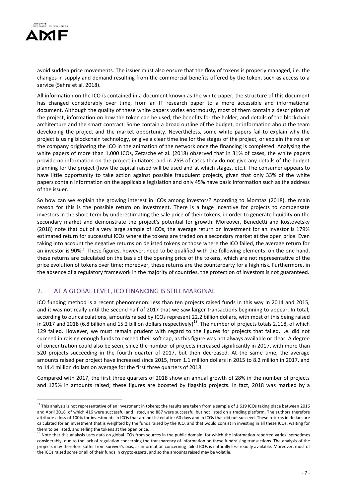

<u>.</u>

avoid sudden price movements. The issuer must also ensure that the flow of tokens is properly managed, i.e. the changes in supply and demand resulting from the commercial benefits offered by the token, such as access to a service (Sehra et al. 2018).

All information on the ICO is contained in a document known as the white paper; the structure of this document has changed considerably over time, from an IT research paper to a more accessible and informational document. Although the quality of these white papers varies enormously, most of them contain a description of the project, information on how the token can be used, the benefits for the holder, and details of the blockchain architecture and the smart contract. Some contain a broad outline of the budget, or information about the team developing the project and the market opportunity. Nevertheless, some white papers fail to explain why the project is using blockchain technology, or give a clear timeline for the stages of the project, or explain the role of the company originating the ICO in the animation of the network once the financing is completed. Analysing the white papers of more than 1,000 ICOs, Zetzsche et al. (2018) observed that in 31% of cases, the white papers provide no information on the project initiators, and in 25% of cases they do not give any details of the budget planning for the project (how the capital raised will be used and at which stages, etc.). The consumer appears to have little opportunity to take action against possible fraudulent projects, given that only 33% of the white papers contain information on the applicable legislation and only 45% have basic information such as the address of the issuer.

So how can we explain the growing interest in ICOs among investors? According to Momtaz (2018), the main reason for this is the possible return on investment. There is a huge incentive for projects to compensate investors in the short term by underestimating the sale price of their tokens, in order to generate liquidity on the secondary market and demonstrate the project's potential for growth. Moreover, Benedetti and Kostovetsky (2018) note that out of a very large sample of ICOs, the average return on investment for an investor is 179% estimated return for successful ICOs where the tokens are traded on a secondary market at the open price. Even taking into account the negative returns on delisted tokens or those where the ICO failed, the average return for an investor is 90%<sup>17</sup>. These figures, however, need to be qualified with the following elements: on the one hand, these returns are calculated on the basis of the opening price of the tokens, which are not representative of the price evolution of tokens over time; moreover, these returns are the counterparty for a high risk. Furthermore, in the absence of a regulatory framework in the majority of countries, the protection of investors is not guaranteed.

## 2. AT A GLOBAL LEVEL, ICO FINANCING IS STILL MARGINAL

ICO funding method is a recent phenomenon: less than ten projects raised funds in this way in 2014 and 2015, and it was not really until the second half of 2017 that we saw larger transactions beginning to appear. In total, according to our calculations, amounts raised by ICOs represent 22.2 billion dollars, with most of this being raised in 2017 and 2018 (6.8 billion and 15.2 billion dollars respectively)<sup>18</sup>. The number of projects totals 2,118, of which 129 failed. However, we must remain prudent with regard to the figures for projects that failed, i.e. did not succeed in raising enough funds to exceed their soft cap, as this figure was not always available or clear. A degree of concentration could also be seen, since the number of projects increased significantly in 2017, with more than 520 projects succeeding in the fourth quarter of 2017, but then decreased. At the same time, the average amounts raised per project have increased since 2015, from 1.1 million dollars in 2015 to 8.2 million in 2017, and to 14.4 million dollars on average for the first three quarters of 2018.

Compared with 2017, the first three quarters of 2018 show an annual growth of 28% in the number of projects and 125% in amounts raised; these figures are boosted by flagship projects. In fact, 2018 was marked by a

<sup>&</sup>lt;sup>17</sup> This analysis is not representative of an investment in tokens; the results are taken from a sample of 1,619 ICOs taking place between 2016 and April 2018, of which 416 were successful and listed, and 887 were successful but not listed on a trading platform. The authors therefore attribute a loss of 100% for investments in ICOs that are not listed after 60 days and in ICOs that did not succeed. These returns in dollars are calculated for an investment that is weighted by the funds raised by the ICO, and that would consist in investing in all these ICOs, waiting for them to be listed, and selling the tokens at the open price.

<sup>&</sup>lt;sup>18</sup> Note that this analysis uses data on global ICOs from sources in the public domain, for which the information reported varies, sometimes considerably, due to the lack of regulation concerning the transparency of information on these fundraising transactions. The analysis of the projects may therefore suffer from survivor's bias, as information concerning failed ICOs is naturally less readily available. Moreover, most of the ICOs raised some or all of their funds in crypto-assets, and so the amounts raised may be volatile.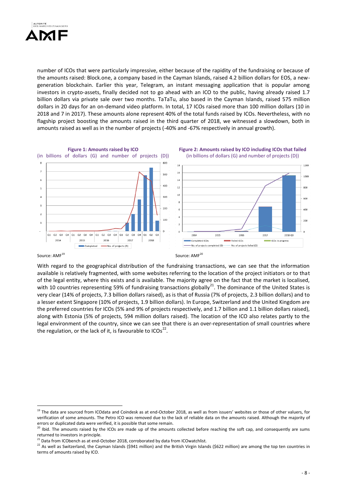

number of ICOs that were particularly impressive, either because of the rapidity of the fundraising or because of the amounts raised: Block.one, a company based in the Cayman Islands, raised 4.2 billion dollars for EOS, a newgeneration blockchain. Earlier this year, Telegram, an instant messaging application that is popular among investors in crypto-assets, finally decided not to go ahead with an ICO to the public, having already raised 1.7 billion dollars via private sale over two months. TaTaTu, also based in the Cayman Islands, raised 575 million dollars in 20 days for an on-demand video platform. In total, 17 ICOs raised more than 100 million dollars (10 in 2018 and 7 in 2017). These amounts alone represent 40% of the total funds raised by ICOs. Nevertheless, with no flagship project boosting the amounts raised in the third quarter of 2018, we witnessed a slowdown, both in amounts raised as well as in the number of projects (-40% and -67% respectively in annual growth).



#### Source: AMF<sup>19</sup>

1

With regard to the geographical distribution of the fundraising transactions, we can see that the information available is relatively fragmented, with some websites referring to the location of the project initiators or to that of the legal entity, where this exists and is available. The majority agree on the fact that the market is localised, with 10 countries representing 59% of fundraising transactions globally<sup>21</sup>. The dominance of the United States is very clear (14% of projects, 7.3 billion dollars raised), as is that of Russia (7% of projects, 2.3 billion dollars) and to a lesser extent Singapore (10% of projects, 1.9 billion dollars). In Europe, Switzerland and the United Kingdom are the preferred countries for ICOs (5% and 9% of projects respectively, and 1.7 billion and 1.1 billion dollars raised), along with Estonia (5% of projects, 594 million dollars raised). The location of the ICO also relates partly to the legal environment of the country, since we can see that there is an over-representation of small countries where the regulation, or the lack of it, is favourable to ICOs<sup>22</sup>.

<sup>&</sup>lt;sup>19</sup> The data are sourced from ICOdata and Coindesk as at end-October 2018, as well as from issuers' websites or those of other valuers, for verification of some amounts. The Petro ICO was removed due to the lack of reliable data on the amounts raised. Although the majority of errors or duplicated data were verified, it is possible that some remain.

<sup>&</sup>lt;sup>20</sup> Ibid. The amounts raised by the ICOs are made up of the amounts collected before reaching the soft cap, and consequently are sums returned to investors in principle.

<sup>21</sup> Data from ICObench as at end-October 2018, corroborated by data from ICOwatchlist.

<sup>22</sup> As well as Switzerland, the Cayman Islands (\$941 million) and the British Virgin Islands (\$622 million) are among the top ten countries in terms of amounts raised by ICO.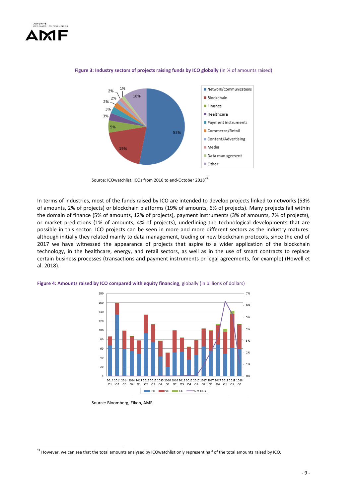

1



#### **Figure 3: Industry sectors of projects raising funds by ICO globally** (in % of amounts raised)

Source: ICOwatchlist, ICOs from 2016 to end-October 2018<sup>23</sup>

In terms of industries, most of the funds raised by ICO are intended to develop projects linked to networks (53% of amounts, 2% of projects) or blockchain platforms (19% of amounts, 6% of projects). Many projects fall within the domain of finance (5% of amounts, 12% of projects), payment instruments (3% of amounts, 7% of projects), or market predictions (1% of amounts, 4% of projects), underlining the technological developments that are possible in this sector. ICO projects can be seen in more and more different sectors as the industry matures: although initially they related mainly to data management, trading or new blockchain protocols, since the end of 2017 we have witnessed the appearance of projects that aspire to a wider application of the blockchain technology, in the healthcare, energy, and retail sectors, as well as in the use of smart contracts to replace certain business processes (transactions and payment instruments or legal agreements, for example) (Howell et al. 2018).



**Figure 4: Amounts raised by ICO compared with equity financing**, globally (in billions of dollars)

Source: Bloomberg, Eikon, AMF.

 $^{23}$  However, we can see that the total amounts analysed by ICOwatchlist only represent half of the total amounts raised by ICO.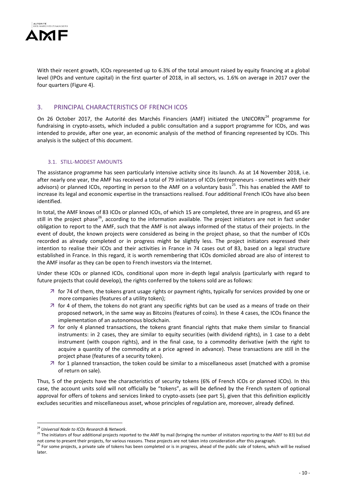

With their recent growth, ICOs represented up to 6.3% of the total amount raised by equity financing at a global level (IPOs and venture capital) in the first quarter of 2018, in all sectors, vs. 1.6% on average in 2017 over the four quarters (Figure 4).

## 3. PRINCIPAL CHARACTERISTICS OF FRENCH ICOS

On 26 October 2017, the Autorité des Marchés Financiers (AMF) initiated the UNICORN<sup>24</sup> programme for fundraising in crypto-assets, which included a public consultation and a support programme for ICOs, and was intended to provide, after one year, an economic analysis of the method of financing represented by ICOs. This analysis is the subject of this document.

#### 3.1. STILL-MODEST AMOUNTS

The assistance programme has seen particularly intensive activity since its launch. As at 14 November 2018, i.e. after nearly one year, the AMF has received a total of 79 initiators of ICOs (entrepreneurs - sometimes with their advisors) or planned ICOs, reporting in person to the AMF on a voluntary basis<sup>25</sup>. This has enabled the AMF to increase its legal and economic expertise in the transactions realised. Four additional French ICOs have also been identified.

In total, the AMF knows of 83 ICOs or planned ICOs, of which 15 are completed, three are in progress, and 65 are still in the project phase<sup>26</sup>, according to the information available. The project initiators are not in fact under obligation to report to the AMF, such that the AMF is not always informed of the status of their projects. In the event of doubt, the known projects were considered as being in the project phase, so that the number of ICOs recorded as already completed or in progress might be slightly less. The project initiators expressed their intention to realise their ICOs and their activities in France in 74 cases out of 83, based on a legal structure established in France. In this regard, it is worth remembering that ICOs domiciled abroad are also of interest to the AMF insofar as they can be open to French investors via the Internet.

Under these ICOs or planned ICOs, conditional upon more in-depth legal analysis (particularly with regard to future projects that could develop), the rights conferred by the tokens sold are as follows:

- $\overline{z}$  for 74 of them, the tokens grant usage rights or payment rights, typically for services provided by one or more companies (features of a utility token);
- $\overline{z}$  for 4 of them, the tokens do not grant any specific rights but can be used as a means of trade on their proposed network, in the same way as Bitcoins (features of coins). In these 4 cases, the ICOs finance the implementation of an autonomous blockchain.
- $\overline{z}$  for only 4 planned transactions, the tokens grant financial rights that make them similar to financial instruments: in 2 cases, they are similar to equity securities (with dividend rights), in 1 case to a debt instrument (with coupon rights), and in the final case, to a commodity derivative (with the right to acquire a quantity of the commodity at a price agreed in advance). These transactions are still in the project phase (features of a security token).
- $\overline{z}$  for 1 planned transaction, the token could be similar to a miscellaneous asset (matched with a promise of return on sale).

Thus, 5 of the projects have the characteristics of security tokens (6% of French ICOs or planned ICOs). In this case, the account units sold will not officially be "tokens", as will be defined by the French system of optional approval for offers of tokens and services linked to crypto-assets (see part 5), given that this definition explicitly excludes securities and miscellaneous asset, whose principles of regulation are, moreover, already defined.

<u>.</u>

<sup>24</sup> *Universal Node to ICOs Research & Network*.

<sup>&</sup>lt;sup>25</sup> The initiators of four additional projects reported to the AMF by mail (bringing the number of initiators reporting to the AMF to 83) but did not come to present their projects, for various reasons. These projects are not taken into consideration after this paragraph.

 $^{26}$  For some projects, a private sale of tokens has been completed or is in progress, ahead of the public sale of tokens, which will be realised later.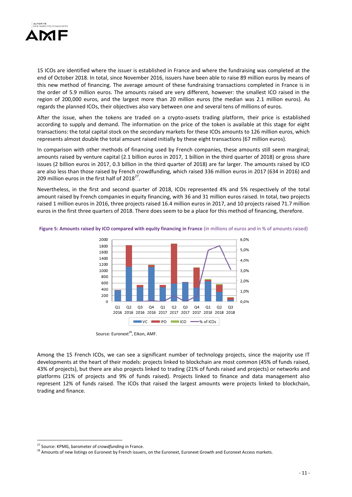

15 ICOs are identified where the issuer is established in France and where the fundraising was completed at the end of October 2018. In total, since November 2016, issuers have been able to raise 89 million euros by means of this new method of financing. The average amount of these fundraising transactions completed in France is in the order of 5.9 million euros. The amounts raised are very different, however: the smallest ICO raised in the region of 200,000 euros, and the largest more than 20 million euros (the median was 2.1 million euros). As regards the planned ICOs, their objectives also vary between one and several tens of millions of euros.

After the issue, when the tokens are traded on a crypto-assets trading platform, their price is established according to supply and demand. The information on the price of the token is available at this stage for eight transactions: the total capital stock on the secondary markets for these ICOs amounts to 126 million euros, which represents almost double the total amount raised initially by these eight transactions (67 million euros).

In comparison with other methods of financing used by French companies, these amounts still seem marginal; amounts raised by venture capital (2.1 billion euros in 2017, 1 billion in the third quarter of 2018) or gross share issues (2 billion euros in 2017, 0.3 billion in the third quarter of 2018) are far larger. The amounts raised by ICO are also less than those raised by French crowdfunding, which raised 336 million euros in 2017 (634 in 2016) and 209 million euros in the first half of  $2018^{27}$ .

Nevertheless, in the first and second quarter of 2018, ICOs represented 4% and 5% respectively of the total amount raised by French companies in equity financing, with 36 and 31 million euros raised. In total, two projects raised 1 million euros in 2016, three projects raised 16.4 million euros in 2017, and 10 projects raised 71.7 million euros in the first three quarters of 2018. There does seem to be a place for this method of financing, therefore.

**Figure 5: Amounts raised by ICO compared with equity financing in France** (in millions of euros and in % of amounts raised)



Source: Euronext<sup>28</sup>, Eikon, AMF.

Among the 15 French ICOs, we can see a significant number of technology projects, since the majority use IT developments at the heart of their models: projects linked to blockchain are most common (45% of funds raised, 43% of projects), but there are also projects linked to trading (21% of funds raised and projects) or networks and platforms (21% of projects and 9% of funds raised). Projects linked to finance and data management also represent 12% of funds raised. The ICOs that raised the largest amounts were projects linked to blockchain, trading and finance.

<u>.</u>

<sup>27</sup> Source: KPMG, barometer of *crowdfunding* in France.

<sup>28</sup> Amounts of new listings on Euronext by French issuers, on the Euronext, Euronext Growth and Euronext Access markets.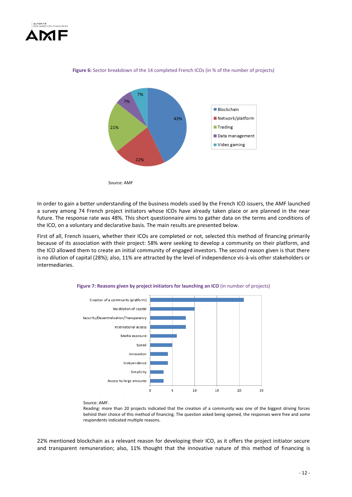



#### Figure 6: Sector breakdown of the 14 completed French ICOs (in % of the number of projects)



In order to gain a better understanding of the business models used by the French ICO issuers, the AMF launched a survey among 74 French project initiators whose ICOs have already taken place or are planned in the near future. The response rate was 48%. This short questionnaire aims to gather data on the terms and conditions of the ICO, on a voluntary and declarative basis. The main results are presented below.

First of all, French issuers, whether their ICOs are completed or not, selected this method of financing primarily because of its association with their project: 58% were seeking to develop a community on their platform, and the ICO allowed them to create an initial community of engaged investors. The second reason given is that there is no dilution of capital (28%); also, 11% are attracted by the level of independence vis-à-vis other stakeholders or intermediaries.

**Figure 7: Reasons given by project initiators for launching an ICO** (in number of projects)



Reading: more than 20 projects indicated that the creation of a community was one of the biggest driving forces behind their choice of this method of financing. The question asked being opened, the responses were free and some respondents indicated multiple reasons.

22% mentioned blockchain as a relevant reason for developing their ICO, as it offers the project initiator secure and transparent remuneration; also, 11% thought that the innovative nature of this method of financing is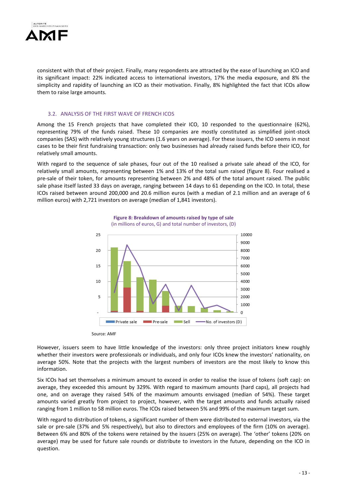

consistent with that of their project. Finally, many respondents are attracted by the ease of launching an ICO and its significant impact: 22% indicated access to international investors, 17% the media exposure, and 8% the simplicity and rapidity of launching an ICO as their motivation. Finally, 8% highlighted the fact that ICOs allow them to raise large amounts.

#### 3.2. ANALYSIS OF THE FIRST WAVE OF FRENCH ICOS

Among the 15 French projects that have completed their ICO, 10 responded to the questionnaire (62%), representing 79% of the funds raised. These 10 companies are mostly constituted as simplified joint-stock companies (SAS) with relatively young structures (1.6 years on average). For these issuers, the ICO seems in most cases to be their first fundraising transaction: only two businesses had already raised funds before their ICO, for relatively small amounts.

With regard to the sequence of sale phases, four out of the 10 realised a private sale ahead of the ICO, for relatively small amounts, representing between 1% and 13% of the total sum raised (figure 8). Four realised a pre-sale of their token, for amounts representing between 2% and 48% of the total amount raised. The public sale phase itself lasted 33 days on average, ranging between 14 days to 61 depending on the ICO. In total, these ICOs raised between around 200,000 and 20.6 million euros (with a median of 2.1 million and an average of 6 million euros) with 2,721 investors on average (median of 1,841 investors).



**Figure 8: Breakdown of amounts raised by type of sale**  (in millions of euros, G) and total number of investors, (D)

However, issuers seem to have little knowledge of the investors: only three project initiators knew roughly whether their investors were professionals or individuals, and only four ICOs knew the investors' nationality, on average 50%. Note that the projects with the largest numbers of investors are the most likely to know this information.

Six ICOs had set themselves a minimum amount to exceed in order to realise the issue of tokens (soft cap): on average, they exceeded this amount by 329%. With regard to maximum amounts (hard caps), all projects had one, and on average they raised 54% of the maximum amounts envisaged (median of 54%). These target amounts varied greatly from project to project, however, with the target amounts and funds actually raised ranging from 1 million to 58 million euros. The ICOs raised between 5% and 99% of the maximum target sum.

With regard to distribution of tokens, a significant number of them were distributed to external investors, via the sale or pre-sale (37% and 5% respectively), but also to directors and employees of the firm (10% on average). Between 6% and 80% of the tokens were retained by the issuers (25% on average). The 'other' tokens (20% on average) may be used for future sale rounds or distribute to investors in the future, depending on the ICO in question.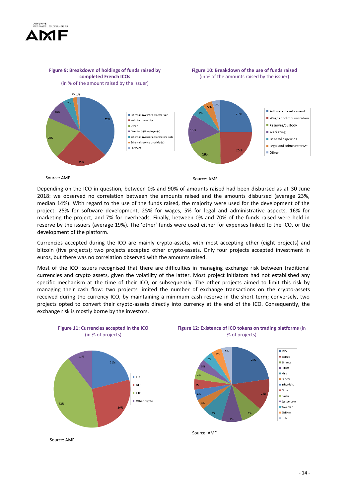



Source: AMF

Source: AMF

Depending on the ICO in question, between 0% and 90% of amounts raised had been disbursed as at 30 June 2018: we observed no correlation between the amounts raised and the amounts disbursed (average 23%, median 14%). With regard to the use of the funds raised, the majority were used for the development of the project: 25% for software development, 25% for wages, 5% for legal and administrative aspects, 16% for marketing the project, and 7% for overheads. Finally, between 0% and 70% of the funds raised were held in reserve by the issuers (average 19%). The 'other' funds were used either for expenses linked to the ICO, or the development of the platform.

Currencies accepted during the ICO are mainly crypto-assets, with most accepting ether (eight projects) and bitcoin (five projects); two projects accepted other crypto-assets. Only four projects accepted investment in euros, but there was no correlation observed with the amounts raised.

Most of the ICO issuers recognised that there are difficulties in managing exchange risk between traditional currencies and crypto assets, given the volatility of the latter. Most project initiators had not established any specific mechanism at the time of their ICO, or subsequently. The other projects aimed to limit this risk by managing their cash flow: two projects limited the number of exchange transactions on the crypto-assets received during the currency ICO, by maintaining a minimum cash reserve in the short term; conversely, two projects opted to convert their crypto-assets directly into currency at the end of the ICO. Consequently, the exchange risk is mostly borne by the investors.



**Figure 11: Currencies accepted in the ICO** (in % of projects)





Source: AMF

Source: AMF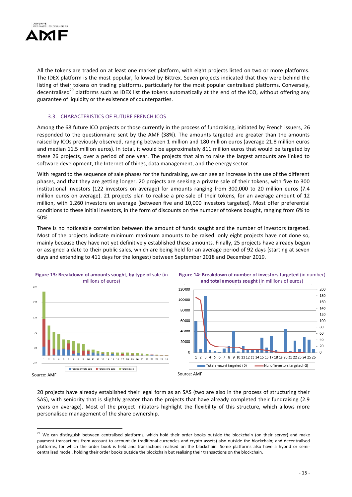

All the tokens are traded on at least one market platform, with eight projects listed on two or more platforms. The IDEX platform is the most popular, followed by Bittrex. Seven projects indicated that they were behind the listing of their tokens on trading platforms, particularly for the most popular centralised platforms. Conversely, decentralised<sup>29</sup> platforms such as IDEX list the tokens automatically at the end of the ICO, without offering any guarantee of liquidity or the existence of counterparties.

#### 3.3. CHARACTERISTICS OF FUTURE FRENCH ICOS

Among the 68 future ICO projects or those currently in the process of fundraising, initiated by French issuers, 26 responded to the questionnaire sent by the AMF (38%). The amounts targeted are greater than the amounts raised by ICOs previously observed, ranging between 1 million and 180 million euros (average 21.8 million euros and median 11.5 million euros). In total, it would be approximately 811 million euros that would be targeted by these 26 projects, over a period of one year. The projects that aim to raise the largest amounts are linked to software development, the Internet of things, data management, and the energy sector.

With regard to the sequence of sale phases for the fundraising, we can see an increase in the use of the different phases, and that they are getting longer. 20 projects are seeking a private sale of their tokens, with five to 300 institutional investors (122 investors on average) for amounts ranging from 300,000 to 20 million euros (7.4 million euros on average). 21 projects plan to realise a pre-sale of their tokens, for an average amount of 12 million, with 1,260 investors on average (between five and 10,000 investors targeted). Most offer preferential conditions to these initial investors, in the form of discounts on the number of tokens bought, ranging from 6% to 50%.

There is no noticeable correlation between the amount of funds sought and the number of investors targeted. Most of the projects indicate minimum maximum amounts to be raised: only eight projects have not done so, mainly because they have not yet definitively established these amounts. Finally, 25 projects have already begun or assigned a date to their public sales, which are being held for an average period of 92 days (starting at seven days and extending to 411 days for the longest) between September 2018 and December 2019.



1

**Figure 13: Breakdown of amounts sought, by type of sale** (in





20 projects have already established their legal form as an SAS (two are also in the process of structuring their SAS), with seniority that is slightly greater than the projects that have already completed their fundraising (2.9 years on average). Most of the project initiators highlight the flexibility of this structure, which allows more personalised management of the share ownership.

<sup>&</sup>lt;sup>29</sup> We can distinguish between centralised platforms, which hold their order books outside the blockchain (on their server) and make payment transactions from account to account (in traditional currencies and crypto-assets) also outside the blockchain; and decentralised platforms, for which the order book is held and transactions realised on the blockchain. Some platforms also have a hybrid or semicentralised model, holding their order books outside the blockchain but realising their transactions on the blockchain.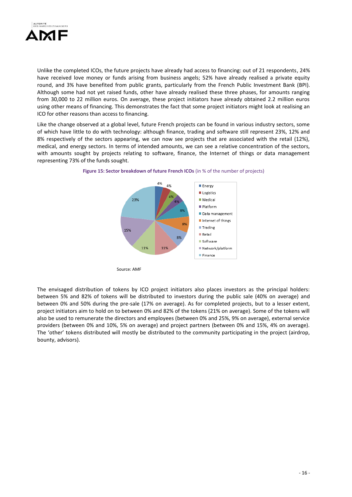

Unlike the completed ICOs, the future projects have already had access to financing: out of 21 respondents, 24% have received love money or funds arising from business angels; 52% have already realised a private equity round, and 3% have benefited from public grants, particularly from the French Public Investment Bank (BPI). Although some had not yet raised funds, other have already realised these three phases, for amounts ranging from 30,000 to 22 million euros. On average, these project initiators have already obtained 2.2 million euros using other means of financing. This demonstrates the fact that some project initiators might look at realising an ICO for other reasons than access to financing.

Like the change observed at a global level, future French projects can be found in various industry sectors, some of which have little to do with technology: although finance, trading and software still represent 23%, 12% and 8% respectively of the sectors appearing, we can now see projects that are associated with the retail (12%), medical, and energy sectors. In terms of intended amounts, we can see a relative concentration of the sectors, with amounts sought by projects relating to software, finance, the Internet of things or data management representing 73% of the funds sought.





The envisaged distribution of tokens by ICO project initiators also places investors as the principal holders: between 5% and 82% of tokens will be distributed to investors during the public sale (40% on average) and between 0% and 50% during the pre-sale (17% on average). As for completed projects, but to a lesser extent, project initiators aim to hold on to between 0% and 82% of the tokens (21% on average). Some of the tokens will also be used to remunerate the directors and employees (between 0% and 25%, 9% on average), external service providers (between 0% and 10%, 5% on average) and project partners (between 0% and 15%, 4% on average). The 'other' tokens distributed will mostly be distributed to the community participating in the project (airdrop, bounty, advisors).

Source: AMF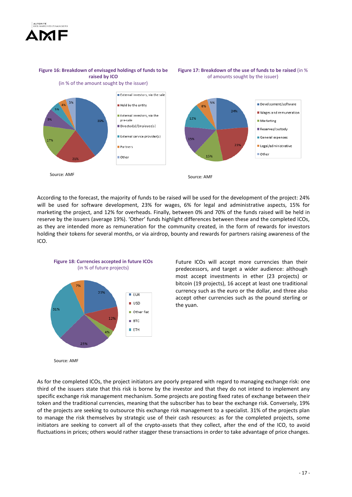

**Figure 16: Breakdown of envisaged holdings of funds to be raised by ICO**

#### **Figure 17: Breakdown of the use of funds to be raised** (in % of amounts sought by the issuer)



According to the forecast, the majority of funds to be raised will be used for the development of the project: 24% will be used for software development, 23% for wages, 6% for legal and administrative aspects, 15% for marketing the project, and 12% for overheads. Finally, between 0% and 70% of the funds raised will be held in reserve by the issuers (average 19%). 'Other' funds highlight differences between these and the completed ICOs, as they are intended more as remuneration for the community created, in the form of rewards for investors holding their tokens for several months, or via airdrop, bounty and rewards for partners raising awareness of the ICO.



**Figure 18: Currencies accepted in future ICOs**

Future ICOs will accept more currencies than their predecessors, and target a wider audience: although most accept investments in ether (23 projects) or bitcoin (19 projects), 16 accept at least one traditional currency such as the euro or the dollar, and three also accept other currencies such as the pound sterling or the yuan.

Source: AMF

As for the completed ICOs, the project initiators are poorly prepared with regard to managing exchange risk: one third of the issuers state that this risk is borne by the investor and that they do not intend to implement any specific exchange risk management mechanism. Some projects are posting fixed rates of exchange between their token and the traditional currencies, meaning that the subscriber has to bear the exchange risk. Conversely, 19% of the projects are seeking to outsource this exchange risk management to a specialist. 31% of the projects plan to manage the risk themselves by strategic use of their cash resources: as for the completed projects, some initiators are seeking to convert all of the crypto-assets that they collect, after the end of the ICO, to avoid fluctuations in prices; others would rather stagger these transactions in order to take advantage of price changes.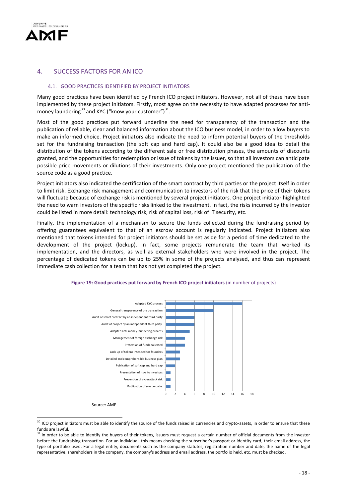

## 4. SUCCESS FACTORS FOR AN ICO

#### 4.1. GOOD PRACTICES IDENTIFIED BY PROJECT INITIATORS

Many good practices have been identified by French ICO project initiators. However, not all of these have been implemented by these project initiators. Firstly, most agree on the necessity to have adapted processes for antimoney laundering $^{30}$  and KYC ("know your customer") $^{31}$ .

Most of the good practices put forward underline the need for transparency of the transaction and the publication of reliable, clear and balanced information about the ICO business model, in order to allow buyers to make an informed choice. Project initiators also indicate the need to inform potential buyers of the thresholds set for the fundraising transaction (the soft cap and hard cap). It could also be a good idea to detail the distribution of the tokens according to the different sale or free distribution phases, the amounts of discounts granted, and the opportunities for redemption or issue of tokens by the issuer, so that all investors can anticipate possible price movements or dilutions of their investments. Only one project mentioned the publication of the source code as a good practice.

Project initiators also indicated the certification of the smart contract by third parties or the project itself in order to limit risk. Exchange risk management and communication to investors of the risk that the price of their tokens will fluctuate because of exchange risk is mentioned by several project initiators. One project initiator highlighted the need to warn investors of the specific risks linked to the investment. In fact, the risks incurred by the investor could be listed in more detail: technology risk, risk of capital loss, risk of IT security, etc.

Finally, the implementation of a mechanism to secure the funds collected during the fundraising period by offering guarantees equivalent to that of an escrow account is regularly indicated. Project initiators also mentioned that tokens intended for project initiators should be set aside for a period of time dedicated to the development of the project (lockup). In fact, some projects remunerate the team that worked its implementation, and the directors, as well as external stakeholders who were involved in the project. The percentage of dedicated tokens can be up to 25% in some of the projects analysed, and thus can represent immediate cash collection for a team that has not yet completed the project.



#### **Figure 19: Good practices put forward by French ICO project initiators** (in number of projects)

Source: AMF

<u>.</u>

<sup>&</sup>lt;sup>30</sup> ICO project initiators must be able to identify the source of the funds raised in currencies and crypto-assets, in order to ensure that these funds are lawful.

<sup>&</sup>lt;sup>31</sup> In order to be able to identify the buyers of their tokens, issuers must request a certain number of official documents from the investor before the fundraising transaction. For an individual, this means checking the subscriber's passport or identity card, their email address, the type of portfolio used. For a legal entity, documents such as the company statutes, registration number and date, the name of the legal representative, shareholders in the company, the company's address and email address, the portfolio held, etc. must be checked.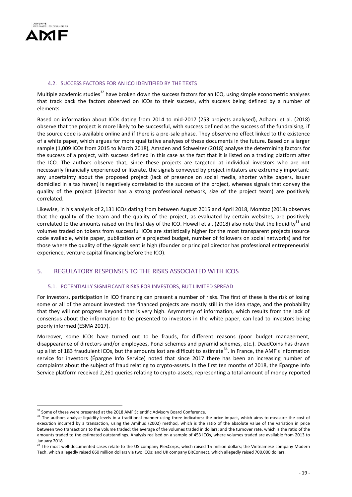

#### 4.2. SUCCESS FACTORS FOR AN ICO IDENTIFIED BY THE TEXTS

Multiple academic studies<sup>32</sup> have broken down the success factors for an ICO, using simple econometric analyses that track back the factors observed on ICOs to their success, with success being defined by a number of elements.

Based on information about ICOs dating from 2014 to mid-2017 (253 projects analysed), Adhami et al. (2018) observe that the project is more likely to be successful, with success defined as the success of the fundraising, if the source code is available online and if there is a pre-sale phase. They observe no effect linked to the existence of a white paper, which argues for more qualitative analyses of these documents in the future. Based on a larger sample (1,009 ICOs from 2015 to March 2018), Amsden and Schweizer (2018) analyse the determining factors for the success of a project, with success defined in this case as the fact that it is listed on a trading platform after the ICO. The authors observe that, since these projects are targeted at individual investors who are not necessarily financially experienced or literate, the signals conveyed by project initiators are extremely important: any uncertainty about the proposed project (lack of presence on social media, shorter white papers, issuer domiciled in a tax haven) is negatively correlated to the success of the project, whereas signals that convey the quality of the project (director has a strong professional network, size of the project team) are positively correlated.

Likewise, in his analysis of 2,131 ICOs dating from between August 2015 and April 2018, Momtaz (2018) observes that the quality of the team and the quality of the project, as evaluated by certain websites, are positively correlated to the amounts raised on the first day of the ICO. Howell et al. (2018) also note that the liquidity<sup>33</sup> and volumes traded on tokens from successful ICOs are statistically higher for the most transparent projects (source code available, white paper, publication of a projected budget, number of followers on social networks) and for those where the quality of the signals sent is high (founder or principal director has professional entrepreneurial experience, venture capital financing before the ICO).

## 5. REGULATORY RESPONSES TO THE RISKS ASSOCIATED WITH ICOS

#### 5.1. POTENTIALLY SIGNIFICANT RISKS FOR INVESTORS, BUT LIMITED SPREAD

For investors, participation in ICO financing can present a number of risks. The first of these is the risk of losing some or all of the amount invested: the financed projects are mostly still in the idea stage, and the probability that they will not progress beyond that is very high. Asymmetry of information, which results from the lack of consensus about the information to be presented to investors in the white paper, can lead to investors being poorly informed (ESMA 2017).

Moreover, some ICOs have turned out to be frauds, for different reasons (poor budget management, disappearance of directors and/or employees, Ponzi schemes and pyramid schemes, etc.). DeadCoins has drawn up a list of 183 fraudulent ICOs, but the amounts lost are difficult to estimate<sup>34</sup>. In France, the AMF's information service for investors (Épargne Info Service) noted that since 2017 there has been an increasing number of complaints about the subject of fraud relating to crypto-assets. In the first ten months of 2018, the Épargne Info Service platform received 2,261 queries relating to crypto-assets, representing a total amount of money reported

<sup>1</sup> <sup>32</sup> Some of these were presented at the 2018 AMF Scientific Advisory Board Conference.

<sup>&</sup>lt;sup>33</sup> The authors analyse liquidity levels in a traditional manner using three indicators: the price impact, which aims to measure the cost of execution incurred by a transaction, using the Amihud (2002) method, which is the ratio of the absolute value of the variation in price between two transactions to the volume traded; the average of the volumes traded in dollars; and the turnover rate, which is the ratio of the amounts traded to the estimated outstandings. Analysis realised on a sample of 453 ICOs, where volumes traded are available from 2013 to January 2018.

<sup>&</sup>lt;sup>34</sup> The most well-documented cases relate to the US company PlexCorps, which raised 15 million dollars; the Vietnamese company Modern Tech, which allegedly raised 660 million dollars via two ICOs; and UK company BitConnect, which allegedly raised 700,000 dollars.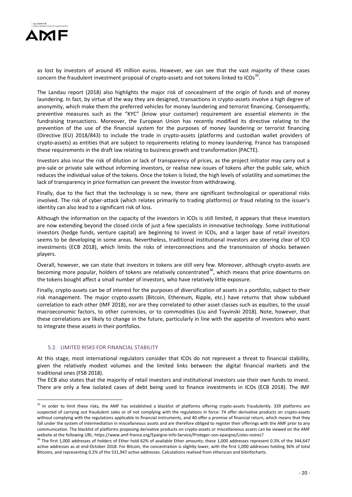

as lost by investors of around 45 million euros. However, we can see that the vast majority of these cases concern the fraudulent investment proposal of crypto-assets and not tokens linked to ICOs<sup>35</sup>.

The Landau report (2018) also highlights the major risk of concealment of the origin of funds and of money laundering. In fact, by virtue of the way they are designed, transactions in crypto-assets involve a high degree of anonymity, which make them the preferred vehicles for money laundering and terrorist financing. Consequently, preventive measures such as the "KYC" (know your customer) requirement are essential elements in the fundraising transactions. Moreover, the European Union has recently modified its directive relating to the prevention of the use of the financial system for the purposes of money laundering or terrorist financing (Directive (EU) 2018/843) to include the trade in crypto-assets (platforms and custodian wallet providers of crypto-assets) as entities that are subject to requirements relating to money laundering. France has transposed these requirements in the draft law relating to business growth and transformation (PACTE).

Investors also incur the risk of dilution or lack of transparency of prices, as the project initiator may carry out a pre-sale or private sale without informing investors, or realise new issues of tokens after the public sale, which reduces the individual value of the tokens. Once the token is listed, the high levels of volatility and sometimes the lack of transparency in price formation can prevent the investor from withdrawing.

Finally, due to the fact that the technology is so new, there are significant technological or operational risks involved. The risk of cyber-attack (which relates primarily to trading platforms) or fraud relating to the issuer's identity can also lead to a significant risk of loss.

Although the information on the capacity of the investors in ICOs is still limited, it appears that these investors are now extending beyond the closed circle of just a few specialists in innovative technology. Some institutional investors (hedge funds, venture capital) are beginning to invest in ICOs, and a larger base of retail investors seems to be developing in some areas. Nevertheless, traditional institutional investors are steering clear of ICO investments (ECB 2018), which limits the risks of interconnections and the transmission of shocks between players.

Overall, however, we can state that investors in tokens are still very few. Moreover, although crypto-assets are becoming more popular, holders of tokens are relatively concentrated<sup>36</sup>, which means that price downturns on the tokens bought affect a small number of investors, who have relatively little exposure.

Finally, crypto-assets can be of interest for the purposes of diversification of assets in a portfolio, subject to their risk management. The major crypto-assets (Bitcoin, Ethereum, Ripple, etc.) have returns that show subdued correlation to each other (IMF 2018), nor are they correlated to other asset classes such as equities, to the usual macroeconomic factors, to other currencies, or to commodities (Liu and Tsyvinski 2018). Note, however, that these correlations are likely to change in the future, particularly in line with the appetite of investors who want to integrate these assets in their portfolios.

#### 5.2. LIMITED RISKS FOR FINANCIAL STABILITY

<u>.</u>

At this stage, most international regulators consider that ICOs do not represent a threat to financial stability, given the relatively modest volumes and the limited links between the digital financial markets and the traditional ones (FSB 2018).

The ECB also states that the majority of retail investors and institutional investors use their own funds to invest. There are only a few isolated cases of debt being used to finance investments in ICOs (ECB 2018). The IMF

<sup>&</sup>lt;sup>35</sup> In order to limit these risks, the AMF has established a blacklist of platforms offering crypto-assets fraudulently. 339 platforms are suspected of carrying out fraudulent sales or of not complying with the regulations in force: 74 offer derivative products on crypto-assets without complying with the regulations applicable to financial instruments, and 40 offer a promise of financial return, which means that they fall under the system of intermediation in miscellaneous assets and are therefore obliged to register their offerings with the AMF prior to any communication. The blacklist of platforms proposing derivative products on crypto-assets or miscellaneous assets can be viewed on the AMF website at the following URL: https://www.amf-france.org/Epargne-Info-Service/Proteger-son-epargne/Listes-noires?

 $36$  The first 1,000 addresses of holders of Ether hold 62% of available Ether amounts; these 1,000 addresses represent 0.3% of the 344,647 active addresses as at end-October 2018. For Bitcoin, the concentration is slightly lower, with the first 1,000 addresses holding 36% of total Bitcoins, and representing 0.2% of the 531,947 active addresses. Calculations realised from etherscan and bitinfocharts.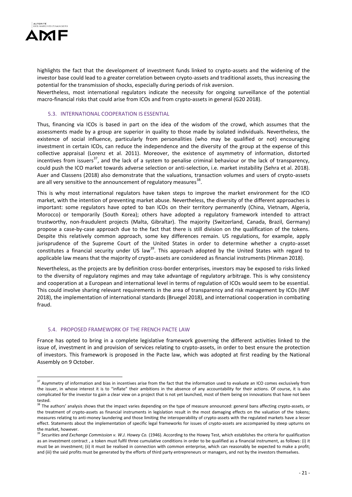

1

highlights the fact that the development of investment funds linked to crypto-assets and the widening of the investor base could lead to a greater correlation between crypto-assets and traditional assets, thus increasing the potential for the transmission of shocks, especially during periods of risk aversion.

Nevertheless, most international regulators indicate the necessity for ongoing surveillance of the potential macro-financial risks that could arise from ICOs and from crypto-assets in general (G20 2018).

#### 5.3. INTERNATIONAL COOPERATION IS ESSENTIAL

Thus, financing via ICOs is based in part on the idea of the wisdom of the crowd, which assumes that the assessments made by a group are superior in quality to those made by isolated individuals. Nevertheless, the existence of social influence, particularly from personalities (who may be qualified or not) encouraging investment in certain ICOs, can reduce the independence and the diversity of the group at the expense of this collective appraisal (Lorenz et al. 2011). Moreover, the existence of asymmetry of information, distorted incentives from issuers<sup>37</sup>, and the lack of a system to penalise criminal behaviour or the lack of transparency, could push the ICO market towards adverse selection or anti-selection, i.e. market instability (Sehra et al. 2018). Auer and Classens (2018) also demonstrate that the valuations, transaction volumes and users of crypto-assets are all very sensitive to the announcement of regulatory measures<sup>38</sup>.

This is why most international regulators have taken steps to improve the market environment for the ICO market, with the intention of preventing market abuse. Nevertheless, the diversity of the different approaches is important: some regulators have opted to ban ICOs on their territory permanently (China, Vietnam, Algeria, Morocco) or temporarily (South Korea); others have adopted a regulatory framework intended to attract trustworthy, non-fraudulent projects (Malta, Gibraltar). The majority (Switzerland, Canada, Brazil, Germany) propose a case-by-case approach due to the fact that there is still division on the qualification of the tokens. Despite this relatively common approach, some key differences remain. US regulations, for example, apply jurisprudence of the Supreme Court of the United States in order to determine whether a crypto-asset constitutes a financial security under US law<sup>39</sup>. This approach adopted by the United States with regard to applicable law means that the majority of crypto-assets are considered as financial instruments (Hinman 2018).

Nevertheless, as the projects are by definition cross-border enterprises, investors may be exposed to risks linked to the diversity of regulatory regimes and may take advantage of regulatory arbitrage. This is why consistency and cooperation at a European and international level in terms of regulation of ICOs would seem to be essential. This could involve sharing relevant requirements in the area of transparency and risk management by ICOs (IMF 2018), the implementation of international standards (Bruegel 2018), and international cooperation in combating fraud.

#### 5.4. PROPOSED FRAMEWORK OF THE FRENCH PACTE LAW

France has opted to bring in a complete legislative framework governing the different activities linked to the issue of, investment in and provision of services relating to crypto-assets, in order to best ensure the protection of investors. This framework is proposed in the Pacte law, which was adopted at first reading by the National Assembly on 9 October.

<sup>&</sup>lt;sup>37</sup> Asymmetry of information and bias in incentives arise from the fact that the information used to evaluate an ICO comes exclusively from the issuer, in whose interest it is to "inflate" their ambitions in the absence of any accountability for their actions. Of course, it is also complicated for the investor to gain a clear view on a project that is not yet launched, most of them being on innovations that have not been tested.

<sup>&</sup>lt;sup>38</sup> The authors' analysis shows that the impact varies depending on the type of measure announced: general bans affecting crypto-assets, or the treatment of crypto-assets as financial instruments in legislation result in the most damaging effects on the valuation of the tokens; measures relating to anti-money laundering and those limiting the interoperability of crypto-assets with the regulated markets have a lesser effect. Statements about the implementation of specific legal frameworks for issues of crypto-assets are accompanied by steep upturns on the market, however.

<sup>&</sup>lt;sup>39</sup> Securities and Exchange Commission v. W.J. Howey Co. (1946). According to the Howey Test, which establishes the criteria for qualification as an investment contract , a token must fulfil three cumulative conditions in order to be qualified as a financial instrument, as follows: (i) it must be an investment; (ii) it must be realised in connection with common enterprise, which can reasonably be expected to make a profit; and (iii) the said profits must be generated by the efforts of third party entrepreneurs or managers, and not by the investors themselves.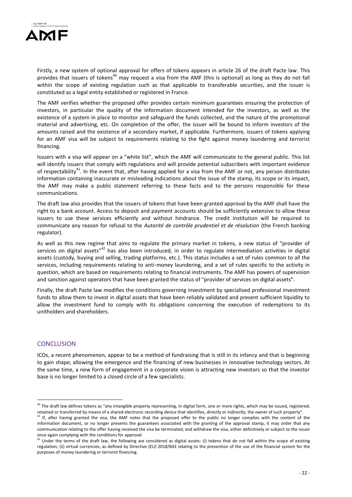

Firstly, a new system of optional approval for offers of tokens appears in article 26 of the draft Pacte law. This provides that issuers of tokens<sup>40</sup> may request a visa from the AMF (this is optional) as long as they do not fall within the scope of existing regulation such as that applicable to transferable securities, and the issuer is constituted as a legal entity established or registered in France.

The AMF verifies whether the proposed offer provides certain minimum guarantees ensuring the protection of investors, in particular the quality of the information document intended for the investors, as well as the existence of a system in place to monitor and safeguard the funds collected, and the nature of the promotional material and advertising, etc. On completion of the offer, the issuer will be bound to inform investors of the amounts raised and the existence of a secondary market, if applicable. Furthermore, issuers of tokens applying for an AMF visa will be subject to requirements relating to the fight against money laundering and terrorist financing.

Issuers with a visa will appear on a "white list", which the AMF will communicate to the general public. This list will identify issuers that comply with regulations and will provide potential subscribers with important evidence of respectability<sup>41</sup>. In the event that, after having applied for a visa from the AMF or not, any person distributes information containing inaccurate or misleading indications about the issue of the stamp, its scope or its impact, the AMF may make a public statement referring to these facts and to the persons responsible for these communications.

The draft law also provides that the issuers of tokens that have been granted approval by the AMF shall have the right to a bank account. Access to deposit and payment accounts should be sufficiently extensive to allow these issuers to use these services efficiently and without hindrance. The credit institution will be required to communicate any reason for refusal to the *Autorité de contrôle prudentiel et de résolution* (the French banking regulator).

As well as this new regime that aims to regulate the primary market in tokens, a new status of "provider of services on digital assets"<sup>42</sup> has also been introduced, in order to regulate intermediation activities in digital assets (custody, buying and selling, trading platforms, etc.). This status includes a set of rules common to all the services, including requirements relating to anti-money laundering, and a set of rules specific to the activity in question, which are based on requirements relating to financial instruments. The AMF has powers of supervision and sanction against operators that have been granted the status of "provider of services on digital assets".

Finally, the draft Pacte law modifies the conditions governing investment by specialised professional investment funds to allow them to invest in digital assets that have been reliably validated and present sufficient liquidity to allow the investment fund to comply with its obligations concerning the execution of redemptions to its unitholders and shareholders.

## **CONCLUSION**

<u>.</u>

ICOs, a recent phenomenon, appear to be a method of fundraising that is still in its infancy and that is beginning to gain shape, allowing the emergence and the financing of new businesses in innovative technology sectors. At the same time, a new form of engagement in a corporate vision is attracting new investors so that the investor base is no longer limited to a closed circle of a few specialists.

<sup>&</sup>lt;sup>40</sup> The draft law defines tokens as "any intangible property representing, in digital form, one or more rights, which may be issued, registered, retained or transferred by means of a shared electronic recording device that identifies, directly or indirectly, the owner of such property".

 $41$  If, after having granted the visa, the AMF notes that the proposed offer to the public no longer complies with the content of the information document, or no longer presents the guarantees associated with the granting of the approval stamp, it may order that any communication relating to the offer having received the visa be terminated, and withdraw the visa, either definitively or subject to the issuer once again complying with the conditions for approval.

 $^{42}$  Under the terms of the draft law, the following are considered as digital assets: (i) tokens that do not fall within the scope of existing regulation; (ii) virtual currencies, as defined by Directive (EU) 2018/843 relating to the prevention of the use of the financial system for the purposes of money laundering or terrorist financing.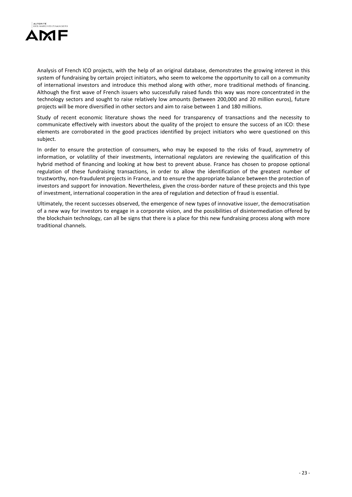

Analysis of French ICO projects, with the help of an original database, demonstrates the growing interest in this system of fundraising by certain project initiators, who seem to welcome the opportunity to call on a community of international investors and introduce this method along with other, more traditional methods of financing. Although the first wave of French issuers who successfully raised funds this way was more concentrated in the technology sectors and sought to raise relatively low amounts (between 200,000 and 20 million euros), future projects will be more diversified in other sectors and aim to raise between 1 and 180 millions.

Study of recent economic literature shows the need for transparency of transactions and the necessity to communicate effectively with investors about the quality of the project to ensure the success of an ICO: these elements are corroborated in the good practices identified by project initiators who were questioned on this subject.

In order to ensure the protection of consumers, who may be exposed to the risks of fraud, asymmetry of information, or volatility of their investments, international regulators are reviewing the qualification of this hybrid method of financing and looking at how best to prevent abuse. France has chosen to propose optional regulation of these fundraising transactions, in order to allow the identification of the greatest number of trustworthy, non-fraudulent projects in France, and to ensure the appropriate balance between the protection of investors and support for innovation. Nevertheless, given the cross-border nature of these projects and this type of investment, international cooperation in the area of regulation and detection of fraud is essential.

Ultimately, the recent successes observed, the emergence of new types of innovative issuer, the democratisation of a new way for investors to engage in a corporate vision, and the possibilities of disintermediation offered by the blockchain technology, can all be signs that there is a place for this new fundraising process along with more traditional channels.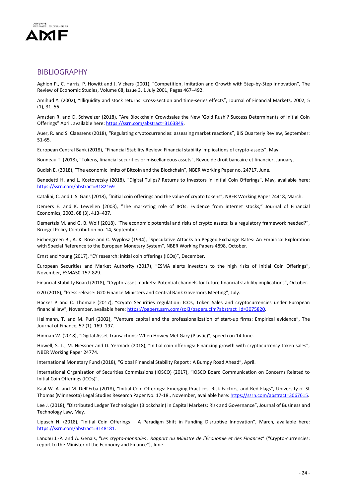

## BIBLIOGRAPHY

Aghion P., C. Harris, P. Howitt and J. Vickers (2001), "Competition, Imitation and Growth with Step-by-Step Innovation", The Review of Economic Studies, Volume 68, Issue 3, 1 July 2001, Pages 467–492.

Amihud Y. (2002), "Illiquidity and stock returns: Cross-section and time-series effects", Journal of Financial Markets, 2002, 5 (1), 31–56.

Amsden R. and D. Schweizer (2018), "Are Blockchain Crowdsales the New 'Gold Rush'? Success Determinants of Initial Coin Offerings" April, available here: https://ssrn.com/abstract=3163849.

Auer, R. and S. Claessens (2018), "Regulating cryptocurrencies: assessing market reactions", BIS Quarterly Review, September: 51-65.

European Central Bank (2018), "Financial Stability Review: Financial stability implications of crypto-assets", May.

Bonneau T. (2018), "Tokens, financial securities or miscellaneous assets", Revue de droit bancaire et financier, January.

Budish E. (2018), "The economic limits of Bitcoin and the Blockchain", NBER Working Paper no. 24717, June.

Benedetti H. and L. Kostovetsky (2018), "Digital Tulips? Returns to Investors in Initial Coin Offerings", May, available here: <https://ssrn.com/abstract=3182169>

Catalini, C. and J. S. Gans (2018), "Initial coin offerings and the value of crypto tokens", NBER Working Paper 24418, March.

Demers E. and K. Lewellen (2003), "The marketing role of IPOs: Evidence from internet stocks," Journal of Financial Economics, 2003, 68 (3), 413–437.

Demertzis M. and G. B. Wolf (2018), "The economic potential and risks of crypto assets: is a regulatory framework needed?", Bruegel Policy Contribution no. 14, September.

Eichengreen B., A. K. Rose and C. Wyplosz (1994), "Speculative Attacks on Pegged Exchange Rates: An Empirical Exploration with Special Reference to the European Monetary System", NBER Working Papers 4898, October.

Ernst and Young (2017), "EY research: initial coin offerings (ICOs)", December.

European Securities and Market Authority (2017), "ESMA alerts investors to the high risks of Initial Coin Offerings", November, ESMA50-157-829.

Financial Stability Board (2018), "Crypto-asset markets: Potential channels for future financial stability implications", October.

G20 (2018), "Press release: G20 Finance Ministers and Central Bank Governors Meeting", July.

Hacker P and C. Thomale (2017), "Crypto Securities regulation: ICOs, Token Sales and cryptocurrencies under European financial law", November, available here: https://papers.ssrn.com/sol3/papers.cfm?abstract\_id=3075820.

Hellmann, T. and M. Puri (2002), "Venture capital and the professionalization of start-up firms: Empirical evidence", The Journal of Finance, 57 (1), 169–197.

Hinman W. (2018), "Digital Asset Transactions: When Howey Met Gary (Plastic)", speech on 14 June.

Howell, S. T., M. Niessner and D. Yermack (2018), "Initial coin offerings: Financing growth with cryptocurrency token sales", NBER Working Paper 24774.

International Monetary Fund (2018), "Global Financial Stability Report : A Bumpy Road Ahead", April.

International Organization of Securities Commissions (IOSCO) (2017), "IOSCO Board Communication on Concerns Related to Initial Coin Offerings (ICOs)".

Kaal W. A. and M. Dell'Erba (2018), "Initial Coin Offerings: Emerging Practices, Risk Factors, and Red Flags", University of St Thomas (Minnesota) Legal Studies Research Paper No. 17-18., November, available here: [https://ssrn.com/abstract=3067615.](https://ssrn.com/abstract=3067615)

Lee J. (2018), "Distributed Ledger Technologies (Blockchain) in Capital Markets: Risk and Governance", Journal of Business and Technology Law, May.

Lipusch N. (2018), "Initial Coin Offerings – A Paradigm Shift in Funding Disruptive Innovation", March, available here: [https://ssrn.com/abstract=3148181.](https://ssrn.com/abstract=3148181)

Landau J.-P. and A. Genais, "*Les crypto-monnaies : Rapport au Ministre de l'Économie et des Finances*" ("Crypto-currencies: report to the Minister of the Economy and Finance"), June.